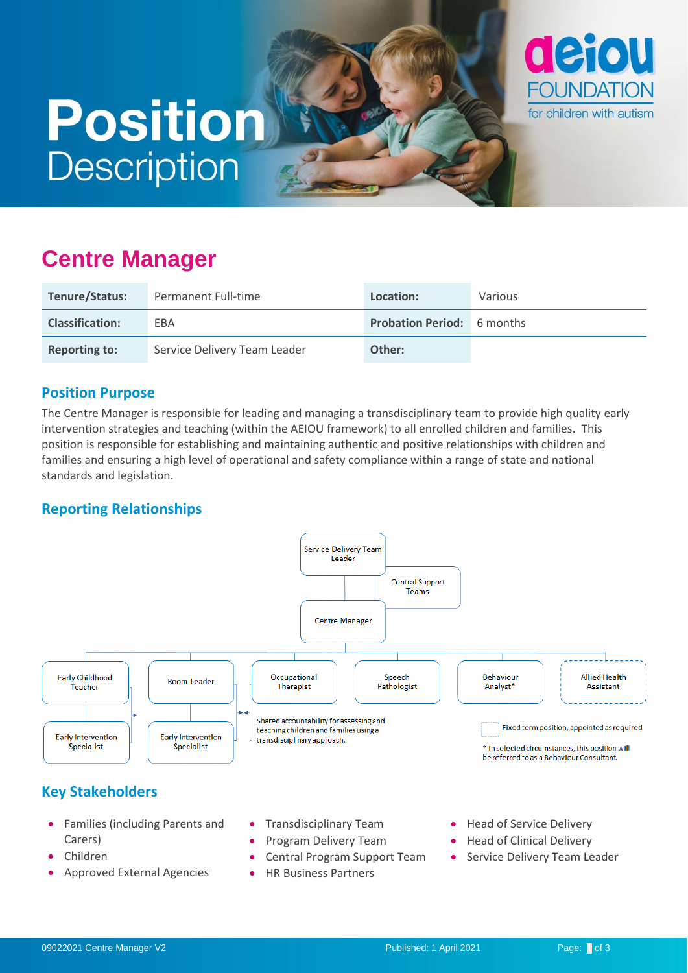# **Position Description**



## **Centre Manager**

| Tenure/Status:         | Permanent Full-time          | Location:                         | <b>Various</b> |
|------------------------|------------------------------|-----------------------------------|----------------|
| <b>Classification:</b> | EBA                          | <b>Probation Period:</b> 6 months |                |
| <b>Reporting to:</b>   | Service Delivery Team Leader | Other:                            |                |

#### **Position Purpose**

The Centre Manager is responsible for leading and managing a transdisciplinary team to provide high quality early intervention strategies and teaching (within the AEIOU framework) to all enrolled children and families. This position is responsible for establishing and maintaining authentic and positive relationships with children and families and ensuring a high level of operational and safety compliance within a range of state and national standards and legislation.

#### **Reporting Relationships**



- Program Delivery Team
- Central Program Support Team
- HR Business Partners
- Head of Clinical Delivery
- Service Delivery Team Leader

• Approved External Agencies

Carers) • Children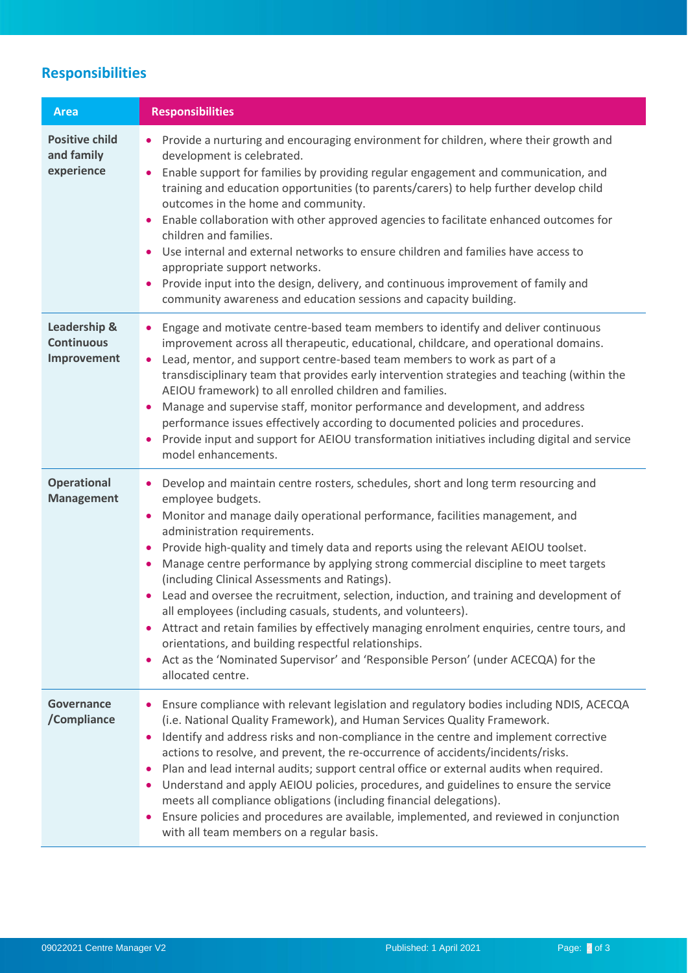### **Responsibilities**

| <b>Area</b>                                       | <b>Responsibilities</b>                                                                                                                                                                                                                                                                                                                                                                                                                                                                                                                                                                                                                                                                                                                                                                                                                                                                                        |
|---------------------------------------------------|----------------------------------------------------------------------------------------------------------------------------------------------------------------------------------------------------------------------------------------------------------------------------------------------------------------------------------------------------------------------------------------------------------------------------------------------------------------------------------------------------------------------------------------------------------------------------------------------------------------------------------------------------------------------------------------------------------------------------------------------------------------------------------------------------------------------------------------------------------------------------------------------------------------|
| <b>Positive child</b><br>and family<br>experience | • Provide a nurturing and encouraging environment for children, where their growth and<br>development is celebrated.<br>Enable support for families by providing regular engagement and communication, and<br>$\bullet$<br>training and education opportunities (to parents/carers) to help further develop child<br>outcomes in the home and community.<br>Enable collaboration with other approved agencies to facilitate enhanced outcomes for<br>$\bullet$<br>children and families.<br>Use internal and external networks to ensure children and families have access to<br>appropriate support networks.<br>Provide input into the design, delivery, and continuous improvement of family and<br>$\bullet$<br>community awareness and education sessions and capacity building.                                                                                                                          |
| Leadership &<br><b>Continuous</b><br>Improvement  | Engage and motivate centre-based team members to identify and deliver continuous<br>improvement across all therapeutic, educational, childcare, and operational domains.<br>Lead, mentor, and support centre-based team members to work as part of a<br>$\bullet$<br>transdisciplinary team that provides early intervention strategies and teaching (within the<br>AEIOU framework) to all enrolled children and families.<br>Manage and supervise staff, monitor performance and development, and address<br>٠<br>performance issues effectively according to documented policies and procedures.<br>Provide input and support for AEIOU transformation initiatives including digital and service<br>model enhancements.                                                                                                                                                                                     |
| <b>Operational</b><br><b>Management</b>           | Develop and maintain centre rosters, schedules, short and long term resourcing and<br>$\bullet$<br>employee budgets.<br>Monitor and manage daily operational performance, facilities management, and<br>$\bullet$<br>administration requirements.<br>Provide high-quality and timely data and reports using the relevant AEIOU toolset.<br>٠<br>Manage centre performance by applying strong commercial discipline to meet targets<br>(including Clinical Assessments and Ratings).<br>Lead and oversee the recruitment, selection, induction, and training and development of<br>all employees (including casuals, students, and volunteers).<br>Attract and retain families by effectively managing enrolment enquiries, centre tours, and<br>orientations, and building respectful relationships.<br>Act as the 'Nominated Supervisor' and 'Responsible Person' (under ACECQA) for the<br>allocated centre. |
| Governance<br>/Compliance                         | Ensure compliance with relevant legislation and regulatory bodies including NDIS, ACECQA<br>(i.e. National Quality Framework), and Human Services Quality Framework.<br>Identify and address risks and non-compliance in the centre and implement corrective<br>actions to resolve, and prevent, the re-occurrence of accidents/incidents/risks.<br>Plan and lead internal audits; support central office or external audits when required.<br>Understand and apply AEIOU policies, procedures, and guidelines to ensure the service<br>meets all compliance obligations (including financial delegations).<br>Ensure policies and procedures are available, implemented, and reviewed in conjunction<br>with all team members on a regular basis.                                                                                                                                                             |